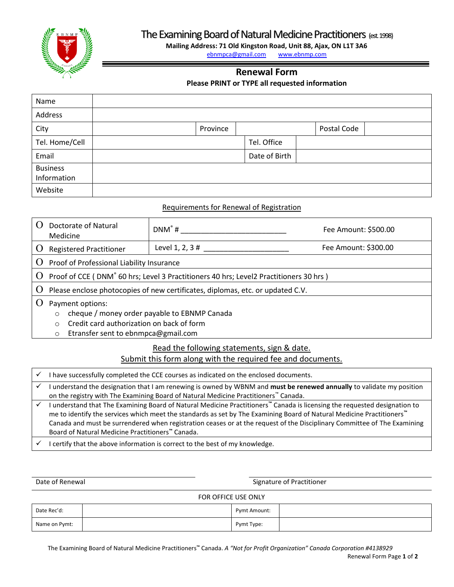

# The Examining Board of Natural Medicine Practitioners (est.1998)

**Mailing Address: 71 Old Kingston Road, Unit 88, Ajax, ON L1T 3A6**

[ebnmpca@gmail.com](mailto:ebnmpca@gmail.com) [www.ebnmp.com](http://www.ebnmp.com/)

## **Renewal Form**

#### **Please PRINT or TYPE all requested information**

| Name            |          |               |             |  |
|-----------------|----------|---------------|-------------|--|
| Address         |          |               |             |  |
| City            | Province |               | Postal Code |  |
| Tel. Home/Cell  |          | Tel. Office   |             |  |
| Email           |          | Date of Birth |             |  |
| <b>Business</b> |          |               |             |  |
| Information     |          |               |             |  |
| Website         |          |               |             |  |

#### Requirements for Renewal of Registration

| Doctorate of Natural<br>Medicine                                                                   | $DNM^*$ #       | Fee Amount: \$500.00 |  |  |
|----------------------------------------------------------------------------------------------------|-----------------|----------------------|--|--|
| <b>Registered Practitioner</b>                                                                     | Level 1, 2, 3 # | Fee Amount: \$300.00 |  |  |
| Proof of Professional Liability Insurance                                                          |                 |                      |  |  |
| Proof of CCE (DNM <sup>®</sup> 60 hrs; Level 3 Practitioners 40 hrs; Level 2 Practitioners 30 hrs) |                 |                      |  |  |
| Please enclose photocopies of new certificates, diplomas, etc. or updated C.V.                     |                 |                      |  |  |
| Payment options:                                                                                   |                 |                      |  |  |
| cheque / money order payable to EBNMP Canada<br>$\circ$                                            |                 |                      |  |  |
| Credit card authorization on back of form                                                          |                 |                      |  |  |
| Etransfer sent to ebnmpca@gmail.com<br>$\circ$                                                     |                 |                      |  |  |

## Read the following statements, sign & date. Submit this form along with the required fee and documents.

| I have successfully completed the CCE courses as indicated on the enclosed documents.                                                                                                                                                                                                                                                                                                                                                                       |
|-------------------------------------------------------------------------------------------------------------------------------------------------------------------------------------------------------------------------------------------------------------------------------------------------------------------------------------------------------------------------------------------------------------------------------------------------------------|
| understand the designation that I am renewing is owned by WBNM and must be renewed annually to validate my position                                                                                                                                                                                                                                                                                                                                         |
| on the registry with The Examining Board of Natural Medicine Practitioners <sup>"</sup> Canada.                                                                                                                                                                                                                                                                                                                                                             |
| I understand that The Examining Board of Natural Medicine Practitioners <sup>"</sup> Canada is licensing the requested designation to<br>me to identify the services which meet the standards as set by The Examining Board of Natural Medicine Practitioners <sup>"*</sup><br>Canada and must be surrendered when registration ceases or at the request of the Disciplinary Committee of The Examining<br>Board of Natural Medicine Practitioners™ Canada. |
| certify that the above information is correct to the best of my knowledge.                                                                                                                                                                                                                                                                                                                                                                                  |

Date of Renewal Signature of Practitioner

#### FOR OFFICE USE ONLY

| Date Rec'd:   | Pymt Amount: |  |
|---------------|--------------|--|
| Name on Pymt: | Pymt Type:   |  |